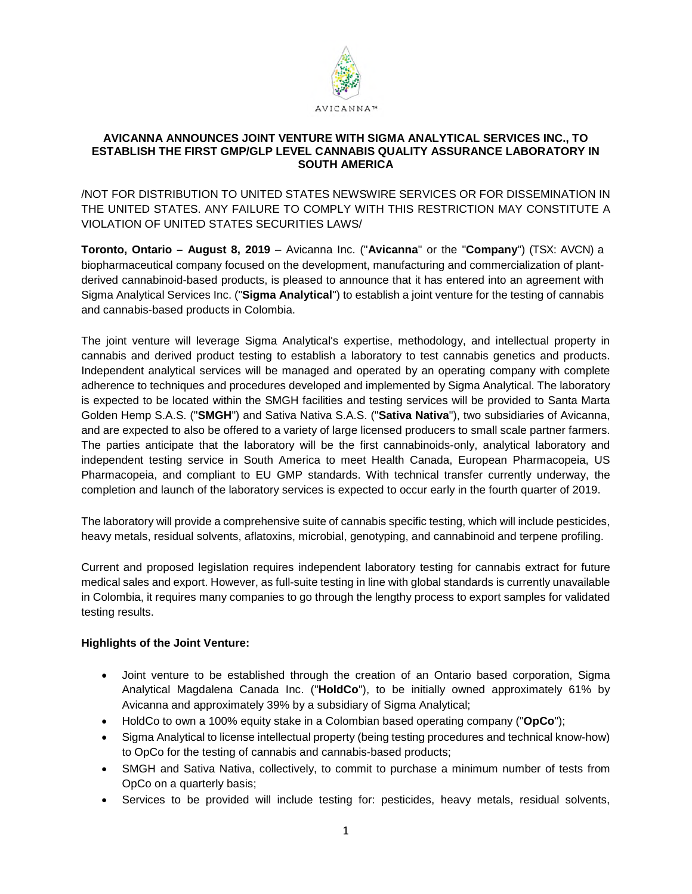

#### **AVICANNA ANNOUNCES JOINT VENTURE WITH SIGMA ANALYTICAL SERVICES INC., TO ESTABLISH THE FIRST GMP/GLP LEVEL CANNABIS QUALITY ASSURANCE LABORATORY IN SOUTH AMERICA**

/NOT FOR DISTRIBUTION TO UNITED STATES NEWSWIRE SERVICES OR FOR DISSEMINATION IN THE UNITED STATES. ANY FAILURE TO COMPLY WITH THIS RESTRICTION MAY CONSTITUTE A VIOLATION OF UNITED STATES SECURITIES LAWS/

**Toronto, Ontario – August 8, 2019** – Avicanna Inc. ("**Avicanna**" or the "**Company**") (TSX: AVCN) a biopharmaceutical company focused on the development, manufacturing and commercialization of plantderived cannabinoid-based products, is pleased to announce that it has entered into an agreement with Sigma Analytical Services Inc. ("**Sigma Analytical**") to establish a joint venture for the testing of cannabis and cannabis-based products in Colombia.

The joint venture will leverage Sigma Analytical's expertise, methodology, and intellectual property in cannabis and derived product testing to establish a laboratory to test cannabis genetics and products. Independent analytical services will be managed and operated by an operating company with complete adherence to techniques and procedures developed and implemented by Sigma Analytical. The laboratory is expected to be located within the SMGH facilities and testing services will be provided to Santa Marta Golden Hemp S.A.S. ("**SMGH**") and Sativa Nativa S.A.S. ("**Sativa Nativa**"), two subsidiaries of Avicanna, and are expected to also be offered to a variety of large licensed producers to small scale partner farmers. The parties anticipate that the laboratory will be the first cannabinoids-only, analytical laboratory and independent testing service in South America to meet Health Canada, European Pharmacopeia, US Pharmacopeia, and compliant to EU GMP standards. With technical transfer currently underway, the completion and launch of the laboratory services is expected to occur early in the fourth quarter of 2019.

The laboratory will provide a comprehensive suite of cannabis specific testing, which will include pesticides, heavy metals, residual solvents, aflatoxins, microbial, genotyping, and cannabinoid and terpene profiling.

Current and proposed legislation requires independent laboratory testing for cannabis extract for future medical sales and export. However, as full-suite testing in line with global standards is currently unavailable in Colombia, it requires many companies to go through the lengthy process to export samples for validated testing results.

# **Highlights of the Joint Venture:**

- Joint venture to be established through the creation of an Ontario based corporation, Sigma Analytical Magdalena Canada Inc. ("**HoldCo**"), to be initially owned approximately 61% by Avicanna and approximately 39% by a subsidiary of Sigma Analytical;
- HoldCo to own a 100% equity stake in a Colombian based operating company ("**OpCo**");
- Sigma Analytical to license intellectual property (being testing procedures and technical know-how) to OpCo for the testing of cannabis and cannabis-based products;
- SMGH and Sativa Nativa, collectively, to commit to purchase a minimum number of tests from OpCo on a quarterly basis;
- Services to be provided will include testing for: pesticides, heavy metals, residual solvents,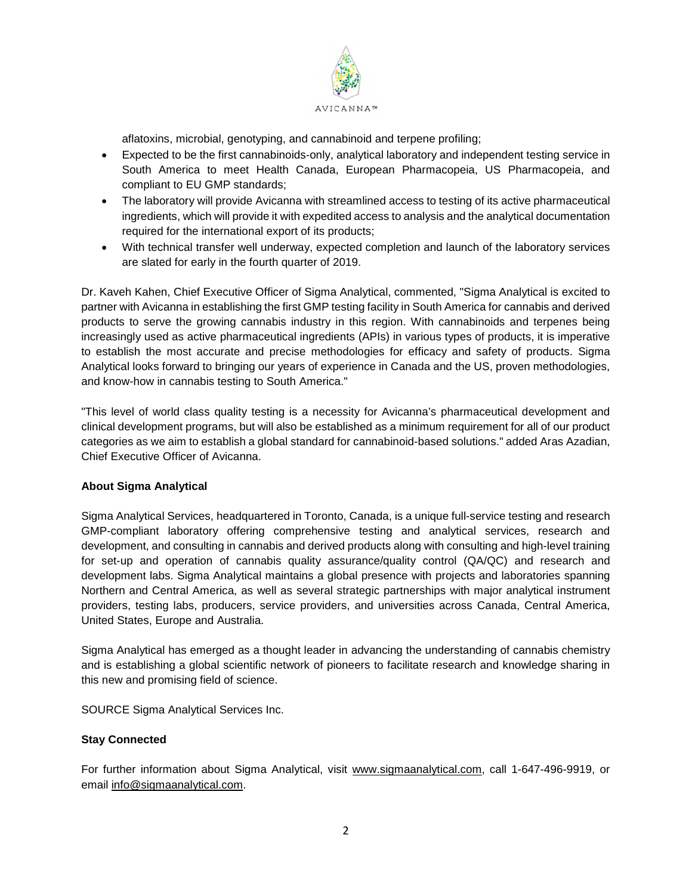

aflatoxins, microbial, genotyping, and cannabinoid and terpene profiling;

- Expected to be the first cannabinoids-only, analytical laboratory and independent testing service in South America to meet Health Canada, European Pharmacopeia, US Pharmacopeia, and compliant to EU GMP standards;
- The laboratory will provide Avicanna with streamlined access to testing of its active pharmaceutical ingredients, which will provide it with expedited access to analysis and the analytical documentation required for the international export of its products;
- With technical transfer well underway, expected completion and launch of the laboratory services are slated for early in the fourth quarter of 2019.

Dr. Kaveh Kahen, Chief Executive Officer of Sigma Analytical, commented, "Sigma Analytical is excited to partner with Avicanna in establishing the first GMP testing facility in South America for cannabis and derived products to serve the growing cannabis industry in this region. With cannabinoids and terpenes being increasingly used as active pharmaceutical ingredients (APIs) in various types of products, it is imperative to establish the most accurate and precise methodologies for efficacy and safety of products. Sigma Analytical looks forward to bringing our years of experience in Canada and the US, proven methodologies, and know-how in cannabis testing to South America."

"This level of world class quality testing is a necessity for Avicanna's pharmaceutical development and clinical development programs, but will also be established as a minimum requirement for all of our product categories as we aim to establish a global standard for cannabinoid-based solutions." added Aras Azadian, Chief Executive Officer of Avicanna.

# **About Sigma Analytical**

Sigma Analytical Services, headquartered in Toronto, Canada, is a unique full-service testing and research GMP-compliant laboratory offering comprehensive testing and analytical services, research and development, and consulting in cannabis and derived products along with consulting and high-level training for set-up and operation of cannabis quality assurance/quality control (QA/QC) and research and development labs. Sigma Analytical maintains a global presence with projects and laboratories spanning Northern and Central America, as well as several strategic partnerships with major analytical instrument providers, testing labs, producers, service providers, and universities across Canada, Central America, United States, Europe and Australia.

Sigma Analytical has emerged as a thought leader in advancing the understanding of cannabis chemistry and is establishing a global scientific network of pioneers to facilitate research and knowledge sharing in this new and promising field of science.

SOURCE Sigma Analytical Services Inc.

# **Stay Connected**

For further information about Sigma Analytical, visit www.sigmaanalytical.com, call 1-647-496-9919, or email info@sigmaanalytical.com.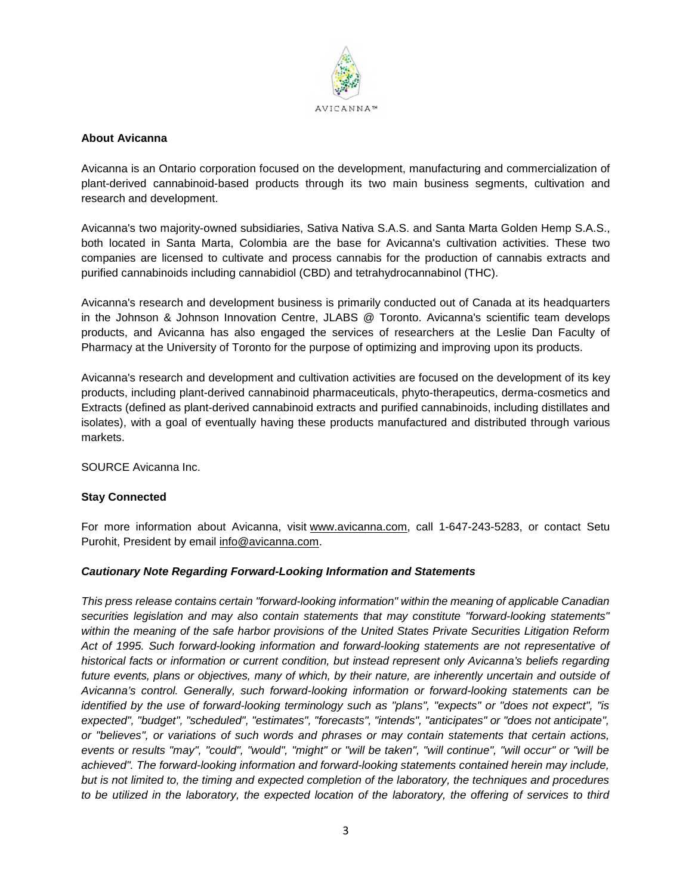

#### **About Avicanna**

Avicanna is an Ontario corporation focused on the development, manufacturing and commercialization of plant-derived cannabinoid-based products through its two main business segments, cultivation and research and development.

Avicanna's two majority-owned subsidiaries, Sativa Nativa S.A.S. and Santa Marta Golden Hemp S.A.S., both located in Santa Marta, Colombia are the base for Avicanna's cultivation activities. These two companies are licensed to cultivate and process cannabis for the production of cannabis extracts and purified cannabinoids including cannabidiol (CBD) and tetrahydrocannabinol (THC).

Avicanna's research and development business is primarily conducted out of Canada at its headquarters in the Johnson & Johnson Innovation Centre, JLABS @ Toronto. Avicanna's scientific team develops products, and Avicanna has also engaged the services of researchers at the Leslie Dan Faculty of Pharmacy at the University of Toronto for the purpose of optimizing and improving upon its products.

Avicanna's research and development and cultivation activities are focused on the development of its key products, including plant-derived cannabinoid pharmaceuticals, phyto-therapeutics, derma-cosmetics and Extracts (defined as plant-derived cannabinoid extracts and purified cannabinoids, including distillates and isolates), with a goal of eventually having these products manufactured and distributed through various markets.

SOURCE Avicanna Inc.

# **Stay Connected**

For more information about Avicanna, visit www.avicanna.com, call 1-647-243-5283, or contact Setu Purohit, President by email info@avicanna.com.

#### *Cautionary Note Regarding Forward-Looking Information and Statements*

*This press release contains certain "forward-looking information" within the meaning of applicable Canadian securities legislation and may also contain statements that may constitute "forward-looking statements" within the meaning of the safe harbor provisions of the United States Private Securities Litigation Reform Act of 1995. Such forward-looking information and forward-looking statements are not representative of historical facts or information or current condition, but instead represent only Avicanna's beliefs regarding future events, plans or objectives, many of which, by their nature, are inherently uncertain and outside of Avicanna's control. Generally, such forward-looking information or forward-looking statements can be identified by the use of forward-looking terminology such as "plans", "expects" or "does not expect", "is expected", "budget", "scheduled", "estimates", "forecasts", "intends", "anticipates" or "does not anticipate", or "believes", or variations of such words and phrases or may contain statements that certain actions, events or results "may", "could", "would", "might" or "will be taken", "will continue", "will occur" or "will be achieved". The forward-looking information and forward-looking statements contained herein may include, but is not limited to, the timing and expected completion of the laboratory, the techniques and procedures*  to be utilized in the laboratory, the expected location of the laboratory, the offering of services to third